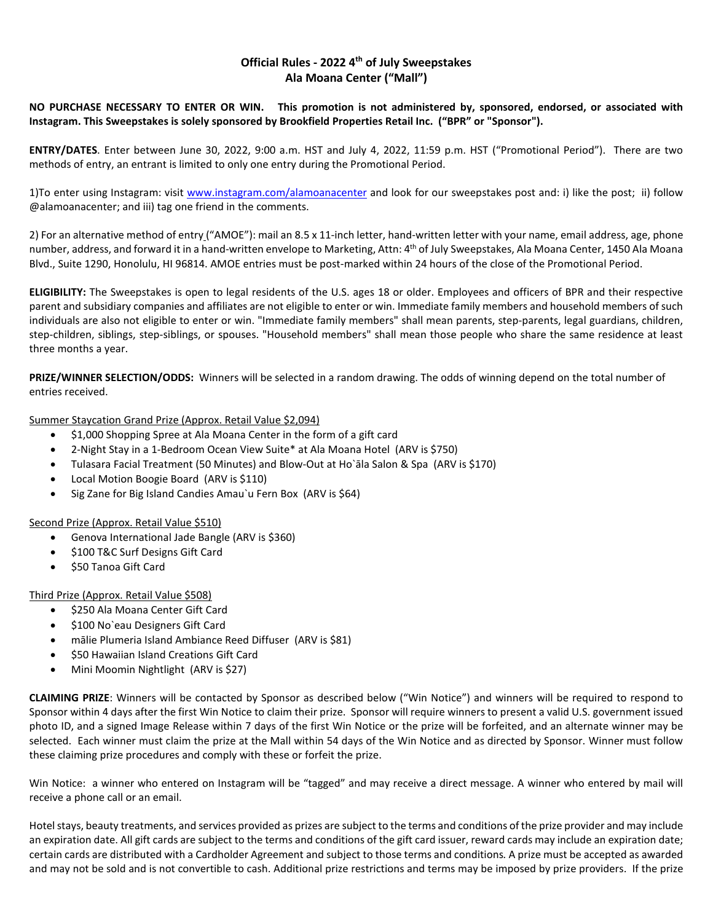## **Official Rules - 2022 4th of July Sweepstakes Ala Moana Center ("Mall")**

**NO PURCHASE NECESSARY TO ENTER OR WIN. This promotion is not administered by, sponsored, endorsed, or associated with Instagram. This Sweepstakes is solely sponsored by Brookfield Properties Retail Inc. ("BPR" or "Sponsor").** 

**ENTRY/DATES**. Enter between June 30, 2022, 9:00 a.m. HST and July 4, 2022, 11:59 p.m. HST ("Promotional Period"). There are two methods of entry, an entrant is limited to only one entry during the Promotional Period.

1)To enter using Instagram: visit [www.instagram.com/alamoanacenter](http://www.instagram.com/alamoanacenter) and look for our sweepstakes post and: i) like the post; ii) follow @alamoanacenter; and iii) tag one friend in the comments.

2) For an alternative method of entry ("AMOE"): mail an 8.5 x 11-inch letter, hand-written letter with your name, email address, age, phone number, address, and forward it in a hand-written envelope to Marketing, Attn: 4<sup>th</sup> of July Sweepstakes, Ala Moana Center, 1450 Ala Moana Blvd., Suite 1290, Honolulu, HI 96814. AMOE entries must be post-marked within 24 hours of the close of the Promotional Period.

**ELIGIBILITY:** The Sweepstakes is open to legal residents of the U.S. ages 18 or older. Employees and officers of BPR and their respective parent and subsidiary companies and affiliates are not eligible to enter or win. Immediate family members and household members of such individuals are also not eligible to enter or win. "Immediate family members" shall mean parents, step-parents, legal guardians, children, step-children, siblings, step-siblings, or spouses. "Household members" shall mean those people who share the same residence at least three months a year.

**PRIZE/WINNER SELECTION/ODDS:** Winners will be selected in a random drawing. The odds of winning depend on the total number of entries received.

Summer Staycation Grand Prize (Approx. Retail Value \$2,094)

- \$1,000 Shopping Spree at Ala Moana Center in the form of a gift card
- 2-Night Stay in a 1-Bedroom Ocean View Suite\* at Ala Moana Hotel (ARV is \$750)
- Tulasara Facial Treatment (50 Minutes) and Blow-Out at Ho`āla Salon & Spa (ARV is \$170)
- Local Motion Boogie Board (ARV is \$110)
- Sig Zane for Big Island Candies Amau`u Fern Box (ARV is \$64)

## Second Prize (Approx. Retail Value \$510)

- Genova International Jade Bangle (ARV is \$360)
- \$100 T&C Surf Designs Gift Card
- \$50 Tanoa Gift Card

## Third Prize (Approx. Retail Value \$508)

- \$250 Ala Moana Center Gift Card
- \$100 No`eau Designers Gift Card
- mālie Plumeria Island Ambiance Reed Diffuser (ARV is \$81)
- \$50 Hawaiian Island Creations Gift Card
- Mini Moomin Nightlight (ARV is \$27)

**CLAIMING PRIZE**: Winners will be contacted by Sponsor as described below ("Win Notice") and winners will be required to respond to Sponsor within 4 days after the first Win Notice to claim their prize. Sponsor will require winners to present a valid U.S. government issued photo ID, and a signed Image Release within 7 days of the first Win Notice or the prize will be forfeited, and an alternate winner may be selected. Each winner must claim the prize at the Mall within 54 days of the Win Notice and as directed by Sponsor. Winner must follow these claiming prize procedures and comply with these or forfeit the prize.

Win Notice: a winner who entered on Instagram will be "tagged" and may receive a direct message. A winner who entered by mail will receive a phone call or an email.

Hotel stays, beauty treatments, and services provided as prizes are subject to the terms and conditions of the prize provider and may include an expiration date. All gift cards are subject to the terms and conditions of the gift card issuer, reward cards may include an expiration date; certain cards are distributed with a Cardholder Agreement and subject to those terms and conditions*.* A prize must be accepted as awarded and may not be sold and is not convertible to cash. Additional prize restrictions and terms may be imposed by prize providers. If the prize